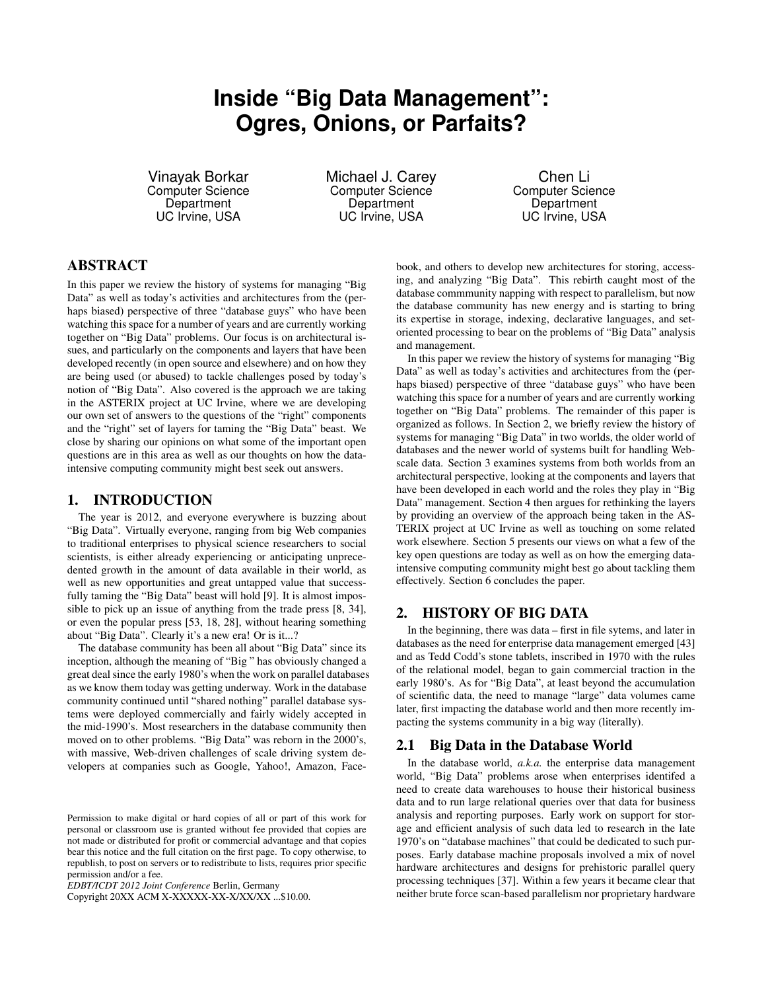# **Inside "Big Data Management": Ogres, Onions, or Parfaits?**

Vinayak Borkar Computer Science Department UC Irvine, USA

Michael J. Carey Computer Science Department UC Irvine, USA

Chen Li Computer Science **Department** UC Irvine, USA

# ABSTRACT

In this paper we review the history of systems for managing "Big Data" as well as today's activities and architectures from the (perhaps biased) perspective of three "database guys" who have been watching this space for a number of years and are currently working together on "Big Data" problems. Our focus is on architectural issues, and particularly on the components and layers that have been developed recently (in open source and elsewhere) and on how they are being used (or abused) to tackle challenges posed by today's notion of "Big Data". Also covered is the approach we are taking in the ASTERIX project at UC Irvine, where we are developing our own set of answers to the questions of the "right" components and the "right" set of layers for taming the "Big Data" beast. We close by sharing our opinions on what some of the important open questions are in this area as well as our thoughts on how the dataintensive computing community might best seek out answers.

#### 1. INTRODUCTION

The year is 2012, and everyone everywhere is buzzing about "Big Data". Virtually everyone, ranging from big Web companies to traditional enterprises to physical science researchers to social scientists, is either already experiencing or anticipating unprecedented growth in the amount of data available in their world, as well as new opportunities and great untapped value that successfully taming the "Big Data" beast will hold [9]. It is almost impossible to pick up an issue of anything from the trade press [8, 34], or even the popular press [53, 18, 28], without hearing something about "Big Data". Clearly it's a new era! Or is it...?

The database community has been all about "Big Data" since its inception, although the meaning of "Big " has obviously changed a great deal since the early 1980's when the work on parallel databases as we know them today was getting underway. Work in the database community continued until "shared nothing" parallel database systems were deployed commercially and fairly widely accepted in the mid-1990's. Most researchers in the database community then moved on to other problems. "Big Data" was reborn in the 2000's, with massive, Web-driven challenges of scale driving system developers at companies such as Google, Yahoo!, Amazon, Face-

Copyright 20XX ACM X-XXXXX-XX-X/XX/XX ...\$10.00.

book, and others to develop new architectures for storing, accessing, and analyzing "Big Data". This rebirth caught most of the database commmunity napping with respect to parallelism, but now the database community has new energy and is starting to bring its expertise in storage, indexing, declarative languages, and setoriented processing to bear on the problems of "Big Data" analysis and management.

In this paper we review the history of systems for managing "Big Data" as well as today's activities and architectures from the (perhaps biased) perspective of three "database guys" who have been watching this space for a number of years and are currently working together on "Big Data" problems. The remainder of this paper is organized as follows. In Section 2, we briefly review the history of systems for managing "Big Data" in two worlds, the older world of databases and the newer world of systems built for handling Webscale data. Section 3 examines systems from both worlds from an architectural perspective, looking at the components and layers that have been developed in each world and the roles they play in "Big Data" management. Section 4 then argues for rethinking the layers by providing an overview of the approach being taken in the AS-TERIX project at UC Irvine as well as touching on some related work elsewhere. Section 5 presents our views on what a few of the key open questions are today as well as on how the emerging dataintensive computing community might best go about tackling them effectively. Section 6 concludes the paper.

## 2. HISTORY OF BIG DATA

In the beginning, there was data – first in file sytems, and later in databases as the need for enterprise data management emerged [43] and as Tedd Codd's stone tablets, inscribed in 1970 with the rules of the relational model, began to gain commercial traction in the early 1980's. As for "Big Data", at least beyond the accumulation of scientific data, the need to manage "large" data volumes came later, first impacting the database world and then more recently impacting the systems community in a big way (literally).

#### 2.1 Big Data in the Database World

In the database world, *a.k.a.* the enterprise data management world, "Big Data" problems arose when enterprises identifed a need to create data warehouses to house their historical business data and to run large relational queries over that data for business analysis and reporting purposes. Early work on support for storage and efficient analysis of such data led to research in the late 1970's on "database machines" that could be dedicated to such purposes. Early database machine proposals involved a mix of novel hardware architectures and designs for prehistoric parallel query processing techniques [37]. Within a few years it became clear that neither brute force scan-based parallelism nor proprietary hardware

Permission to make digital or hard copies of all or part of this work for personal or classroom use is granted without fee provided that copies are not made or distributed for profit or commercial advantage and that copies bear this notice and the full citation on the first page. To copy otherwise, to republish, to post on servers or to redistribute to lists, requires prior specific permission and/or a fee.

*EDBT/ICDT 2012 Joint Conference* Berlin, Germany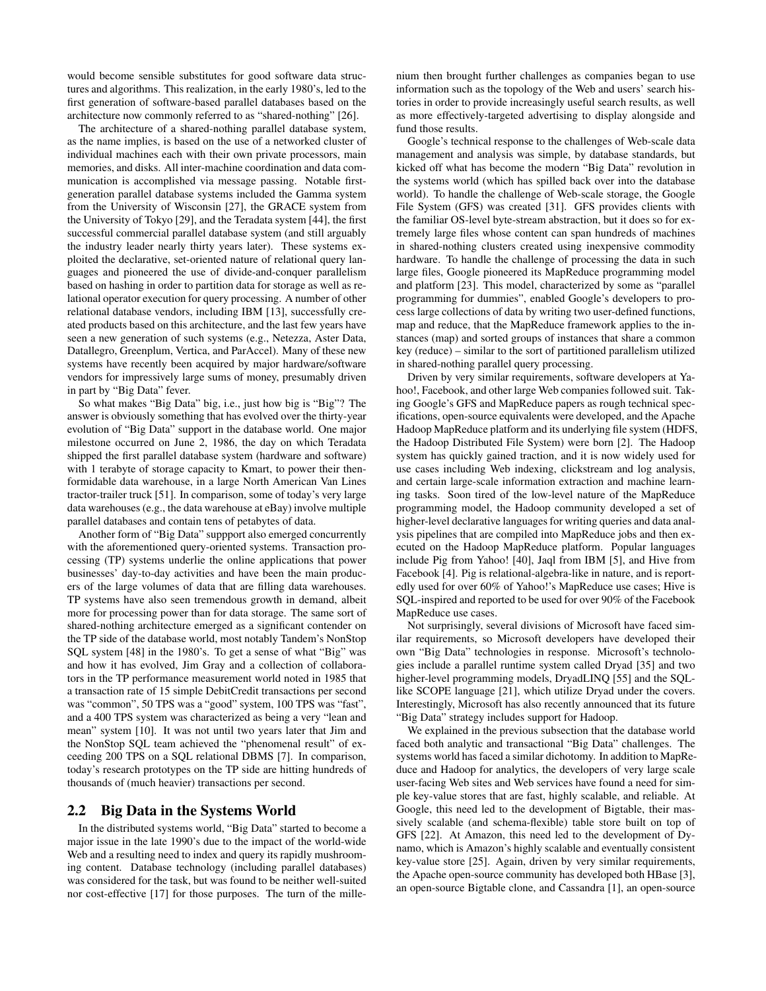would become sensible substitutes for good software data structures and algorithms. This realization, in the early 1980's, led to the first generation of software-based parallel databases based on the architecture now commonly referred to as "shared-nothing" [26].

The architecture of a shared-nothing parallel database system, as the name implies, is based on the use of a networked cluster of individual machines each with their own private processors, main memories, and disks. All inter-machine coordination and data communication is accomplished via message passing. Notable firstgeneration parallel database systems included the Gamma system from the University of Wisconsin [27], the GRACE system from the University of Tokyo [29], and the Teradata system [44], the first successful commercial parallel database system (and still arguably the industry leader nearly thirty years later). These systems exploited the declarative, set-oriented nature of relational query languages and pioneered the use of divide-and-conquer parallelism based on hashing in order to partition data for storage as well as relational operator execution for query processing. A number of other relational database vendors, including IBM [13], successfully created products based on this architecture, and the last few years have seen a new generation of such systems (e.g., Netezza, Aster Data, Datallegro, Greenplum, Vertica, and ParAccel). Many of these new systems have recently been acquired by major hardware/software vendors for impressively large sums of money, presumably driven in part by "Big Data" fever.

So what makes "Big Data" big, i.e., just how big is "Big"? The answer is obviously something that has evolved over the thirty-year evolution of "Big Data" support in the database world. One major milestone occurred on June 2, 1986, the day on which Teradata shipped the first parallel database system (hardware and software) with 1 terabyte of storage capacity to Kmart, to power their thenformidable data warehouse, in a large North American Van Lines tractor-trailer truck [51]. In comparison, some of today's very large data warehouses (e.g., the data warehouse at eBay) involve multiple parallel databases and contain tens of petabytes of data.

Another form of "Big Data" suppport also emerged concurrently with the aforementioned query-oriented systems. Transaction processing (TP) systems underlie the online applications that power businesses' day-to-day activities and have been the main producers of the large volumes of data that are filling data warehouses. TP systems have also seen tremendous growth in demand, albeit more for processing power than for data storage. The same sort of shared-nothing architecture emerged as a significant contender on the TP side of the database world, most notably Tandem's NonStop SQL system [48] in the 1980's. To get a sense of what "Big" was and how it has evolved, Jim Gray and a collection of collaborators in the TP performance measurement world noted in 1985 that a transaction rate of 15 simple DebitCredit transactions per second was "common", 50 TPS was a "good" system, 100 TPS was "fast", and a 400 TPS system was characterized as being a very "lean and mean" system [10]. It was not until two years later that Jim and the NonStop SQL team achieved the "phenomenal result" of exceeding 200 TPS on a SQL relational DBMS [7]. In comparison, today's research prototypes on the TP side are hitting hundreds of thousands of (much heavier) transactions per second.

#### 2.2 Big Data in the Systems World

In the distributed systems world, "Big Data" started to become a major issue in the late 1990's due to the impact of the world-wide Web and a resulting need to index and query its rapidly mushrooming content. Database technology (including parallel databases) was considered for the task, but was found to be neither well-suited nor cost-effective [17] for those purposes. The turn of the millenium then brought further challenges as companies began to use information such as the topology of the Web and users' search histories in order to provide increasingly useful search results, as well as more effectively-targeted advertising to display alongside and fund those results.

Google's technical response to the challenges of Web-scale data management and analysis was simple, by database standards, but kicked off what has become the modern "Big Data" revolution in the systems world (which has spilled back over into the database world). To handle the challenge of Web-scale storage, the Google File System (GFS) was created [31]. GFS provides clients with the familiar OS-level byte-stream abstraction, but it does so for extremely large files whose content can span hundreds of machines in shared-nothing clusters created using inexpensive commodity hardware. To handle the challenge of processing the data in such large files, Google pioneered its MapReduce programming model and platform [23]. This model, characterized by some as "parallel programming for dummies", enabled Google's developers to process large collections of data by writing two user-defined functions, map and reduce, that the MapReduce framework applies to the instances (map) and sorted groups of instances that share a common key (reduce) – similar to the sort of partitioned parallelism utilized in shared-nothing parallel query processing.

Driven by very similar requirements, software developers at Yahoo!, Facebook, and other large Web companies followed suit. Taking Google's GFS and MapReduce papers as rough technical specifications, open-source equivalents were developed, and the Apache Hadoop MapReduce platform and its underlying file system (HDFS, the Hadoop Distributed File System) were born [2]. The Hadoop system has quickly gained traction, and it is now widely used for use cases including Web indexing, clickstream and log analysis, and certain large-scale information extraction and machine learning tasks. Soon tired of the low-level nature of the MapReduce programming model, the Hadoop community developed a set of higher-level declarative languages for writing queries and data analysis pipelines that are compiled into MapReduce jobs and then executed on the Hadoop MapReduce platform. Popular languages include Pig from Yahoo! [40], Jaql from IBM [5], and Hive from Facebook [4]. Pig is relational-algebra-like in nature, and is reportedly used for over 60% of Yahoo!'s MapReduce use cases; Hive is SQL-inspired and reported to be used for over 90% of the Facebook MapReduce use cases.

Not surprisingly, several divisions of Microsoft have faced similar requirements, so Microsoft developers have developed their own "Big Data" technologies in response. Microsoft's technologies include a parallel runtime system called Dryad [35] and two higher-level programming models, DryadLINQ [55] and the SQLlike SCOPE language [21], which utilize Dryad under the covers. Interestingly, Microsoft has also recently announced that its future "Big Data" strategy includes support for Hadoop.

We explained in the previous subsection that the database world faced both analytic and transactional "Big Data" challenges. The systems world has faced a similar dichotomy. In addition to MapReduce and Hadoop for analytics, the developers of very large scale user-facing Web sites and Web services have found a need for simple key-value stores that are fast, highly scalable, and reliable. At Google, this need led to the development of Bigtable, their massively scalable (and schema-flexible) table store built on top of GFS [22]. At Amazon, this need led to the development of Dynamo, which is Amazon's highly scalable and eventually consistent key-value store [25]. Again, driven by very similar requirements, the Apache open-source community has developed both HBase [3], an open-source Bigtable clone, and Cassandra [1], an open-source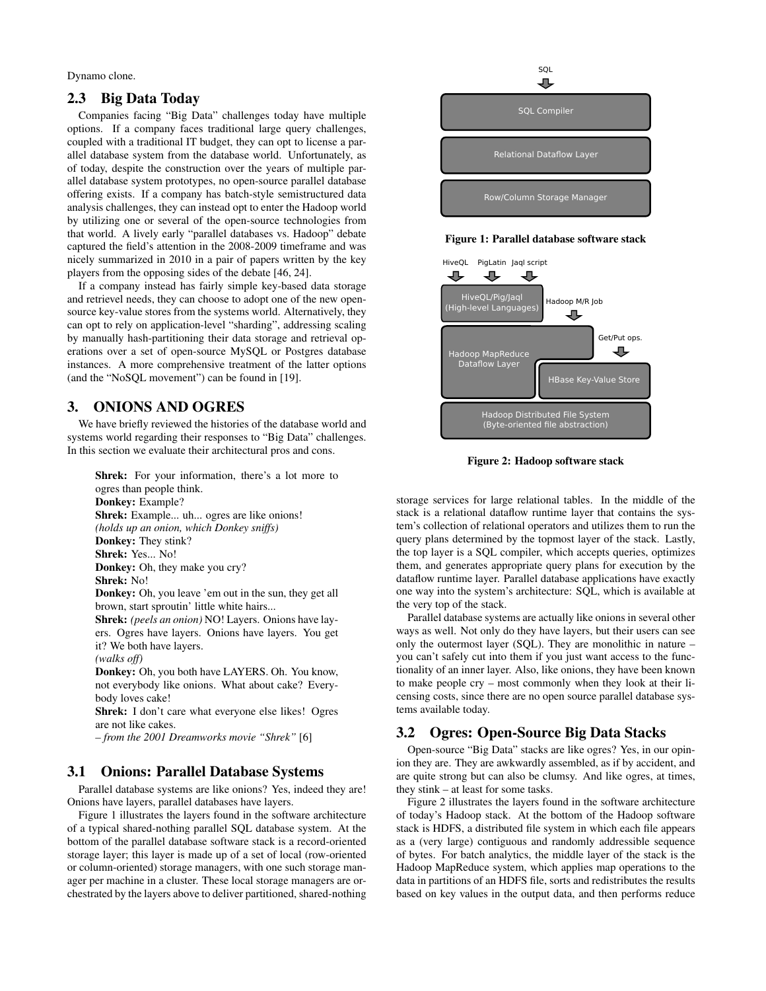Dynamo clone.

## 2.3 Big Data Today

Companies facing "Big Data" challenges today have multiple options. If a company faces traditional large query challenges, coupled with a traditional IT budget, they can opt to license a parallel database system from the database world. Unfortunately, as of today, despite the construction over the years of multiple parallel database system prototypes, no open-source parallel database offering exists. If a company has batch-style semistructured data analysis challenges, they can instead opt to enter the Hadoop world by utilizing one or several of the open-source technologies from that world. A lively early "parallel databases vs. Hadoop" debate captured the field's attention in the 2008-2009 timeframe and was nicely summarized in 2010 in a pair of papers written by the key players from the opposing sides of the debate [46, 24].

If a company instead has fairly simple key-based data storage and retrievel needs, they can choose to adopt one of the new opensource key-value stores from the systems world. Alternatively, they can opt to rely on application-level "sharding", addressing scaling by manually hash-partitioning their data storage and retrieval operations over a set of open-source MySQL or Postgres database instances. A more comprehensive treatment of the latter options (and the "NoSQL movement") can be found in [19].

# 3. ONIONS AND OGRES

We have briefly reviewed the histories of the database world and systems world regarding their responses to "Big Data" challenges. In this section we evaluate their architectural pros and cons.

Shrek: For your information, there's a lot more to ogres than people think. Donkey: Example? Shrek: Example... uh... ogres are like onions! *(holds up an onion, which Donkey sniffs)* Donkey: They stink? Shrek: Yes... No! Donkey: Oh, they make you cry? Shrek: No! Donkey: Oh, you leave 'em out in the sun, they get all brown, start sproutin' little white hairs... Shrek: *(peels an onion)* NO! Layers. Onions have layers. Ogres have layers. Onions have layers. You get it? We both have layers. *(walks off)* Donkey: Oh, you both have LAYERS. Oh. You know, not everybody like onions. What about cake? Everybody loves cake! Shrek: I don't care what everyone else likes! Ogres are not like cakes.

*– from the 2001 Dreamworks movie "Shrek"* [6]

## 3.1 Onions: Parallel Database Systems

Parallel database systems are like onions? Yes, indeed they are! Onions have layers, parallel databases have layers.

Figure 1 illustrates the layers found in the software architecture of a typical shared-nothing parallel SQL database system. At the bottom of the parallel database software stack is a record-oriented storage layer; this layer is made up of a set of local (row-oriented or column-oriented) storage managers, with one such storage manager per machine in a cluster. These local storage managers are orchestrated by the layers above to deliver partitioned, shared-nothing



Figure 1: Parallel database software stack



Figure 2: Hadoop software stack

storage services for large relational tables. In the middle of the stack is a relational dataflow runtime layer that contains the system's collection of relational operators and utilizes them to run the query plans determined by the topmost layer of the stack. Lastly, the top layer is a SQL compiler, which accepts queries, optimizes them, and generates appropriate query plans for execution by the dataflow runtime layer. Parallel database applications have exactly one way into the system's architecture: SQL, which is available at the very top of the stack.

Parallel database systems are actually like onions in several other ways as well. Not only do they have layers, but their users can see only the outermost layer (SQL). They are monolithic in nature – you can't safely cut into them if you just want access to the functionality of an inner layer. Also, like onions, they have been known to make people cry – most commonly when they look at their licensing costs, since there are no open source parallel database systems available today.

## 3.2 Ogres: Open-Source Big Data Stacks

Open-source "Big Data" stacks are like ogres? Yes, in our opinion they are. They are awkwardly assembled, as if by accident, and are quite strong but can also be clumsy. And like ogres, at times, they stink – at least for some tasks.

Figure 2 illustrates the layers found in the software architecture of today's Hadoop stack. At the bottom of the Hadoop software stack is HDFS, a distributed file system in which each file appears as a (very large) contiguous and randomly addressible sequence of bytes. For batch analytics, the middle layer of the stack is the Hadoop MapReduce system, which applies map operations to the data in partitions of an HDFS file, sorts and redistributes the results based on key values in the output data, and then performs reduce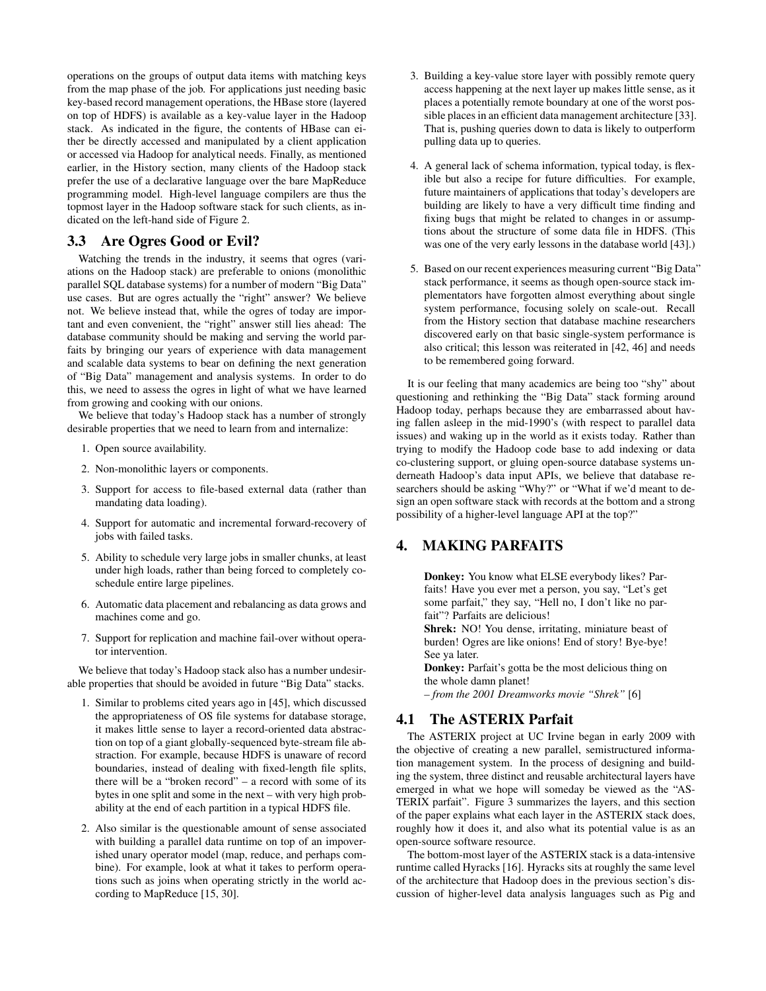operations on the groups of output data items with matching keys from the map phase of the job. For applications just needing basic key-based record management operations, the HBase store (layered on top of HDFS) is available as a key-value layer in the Hadoop stack. As indicated in the figure, the contents of HBase can either be directly accessed and manipulated by a client application or accessed via Hadoop for analytical needs. Finally, as mentioned earlier, in the History section, many clients of the Hadoop stack prefer the use of a declarative language over the bare MapReduce programming model. High-level language compilers are thus the topmost layer in the Hadoop software stack for such clients, as indicated on the left-hand side of Figure 2.

## 3.3 Are Ogres Good or Evil?

Watching the trends in the industry, it seems that ogres (variations on the Hadoop stack) are preferable to onions (monolithic parallel SQL database systems) for a number of modern "Big Data" use cases. But are ogres actually the "right" answer? We believe not. We believe instead that, while the ogres of today are important and even convenient, the "right" answer still lies ahead: The database community should be making and serving the world parfaits by bringing our years of experience with data management and scalable data systems to bear on defining the next generation of "Big Data" management and analysis systems. In order to do this, we need to assess the ogres in light of what we have learned from growing and cooking with our onions.

We believe that today's Hadoop stack has a number of strongly desirable properties that we need to learn from and internalize:

- 1. Open source availability.
- 2. Non-monolithic layers or components.
- 3. Support for access to file-based external data (rather than mandating data loading).
- 4. Support for automatic and incremental forward-recovery of jobs with failed tasks.
- 5. Ability to schedule very large jobs in smaller chunks, at least under high loads, rather than being forced to completely coschedule entire large pipelines.
- 6. Automatic data placement and rebalancing as data grows and machines come and go.
- 7. Support for replication and machine fail-over without operator intervention.

We believe that today's Hadoop stack also has a number undesirable properties that should be avoided in future "Big Data" stacks.

- 1. Similar to problems cited years ago in [45], which discussed the appropriateness of OS file systems for database storage, it makes little sense to layer a record-oriented data abstraction on top of a giant globally-sequenced byte-stream file abstraction. For example, because HDFS is unaware of record boundaries, instead of dealing with fixed-length file splits, there will be a "broken record" – a record with some of its bytes in one split and some in the next – with very high probability at the end of each partition in a typical HDFS file.
- 2. Also similar is the questionable amount of sense associated with building a parallel data runtime on top of an impoverished unary operator model (map, reduce, and perhaps combine). For example, look at what it takes to perform operations such as joins when operating strictly in the world according to MapReduce [15, 30].
- 3. Building a key-value store layer with possibly remote query access happening at the next layer up makes little sense, as it places a potentially remote boundary at one of the worst possible places in an efficient data management architecture [33]. That is, pushing queries down to data is likely to outperform pulling data up to queries.
- 4. A general lack of schema information, typical today, is flexible but also a recipe for future difficulties. For example, future maintainers of applications that today's developers are building are likely to have a very difficult time finding and fixing bugs that might be related to changes in or assumptions about the structure of some data file in HDFS. (This was one of the very early lessons in the database world [43].)
- 5. Based on our recent experiences measuring current "Big Data" stack performance, it seems as though open-source stack implementators have forgotten almost everything about single system performance, focusing solely on scale-out. Recall from the History section that database machine researchers discovered early on that basic single-system performance is also critical; this lesson was reiterated in [42, 46] and needs to be remembered going forward.

It is our feeling that many academics are being too "shy" about questioning and rethinking the "Big Data" stack forming around Hadoop today, perhaps because they are embarrassed about having fallen asleep in the mid-1990's (with respect to parallel data issues) and waking up in the world as it exists today. Rather than trying to modify the Hadoop code base to add indexing or data co-clustering support, or gluing open-source database systems underneath Hadoop's data input APIs, we believe that database researchers should be asking "Why?" or "What if we'd meant to design an open software stack with records at the bottom and a strong possibility of a higher-level language API at the top?"

# 4. MAKING PARFAITS

Donkey: You know what ELSE everybody likes? Parfaits! Have you ever met a person, you say, "Let's get some parfait," they say, "Hell no, I don't like no parfait"? Parfaits are delicious!

Shrek: NO! You dense, irritating, miniature beast of burden! Ogres are like onions! End of story! Bye-bye! See ya later.

Donkey: Parfait's gotta be the most delicious thing on the whole damn planet!

*– from the 2001 Dreamworks movie "Shrek"* [6]

## 4.1 The ASTERIX Parfait

The ASTERIX project at UC Irvine began in early 2009 with the objective of creating a new parallel, semistructured information management system. In the process of designing and building the system, three distinct and reusable architectural layers have emerged in what we hope will someday be viewed as the "AS-TERIX parfait". Figure 3 summarizes the layers, and this section of the paper explains what each layer in the ASTERIX stack does, roughly how it does it, and also what its potential value is as an open-source software resource.

The bottom-most layer of the ASTERIX stack is a data-intensive runtime called Hyracks [16]. Hyracks sits at roughly the same level of the architecture that Hadoop does in the previous section's discussion of higher-level data analysis languages such as Pig and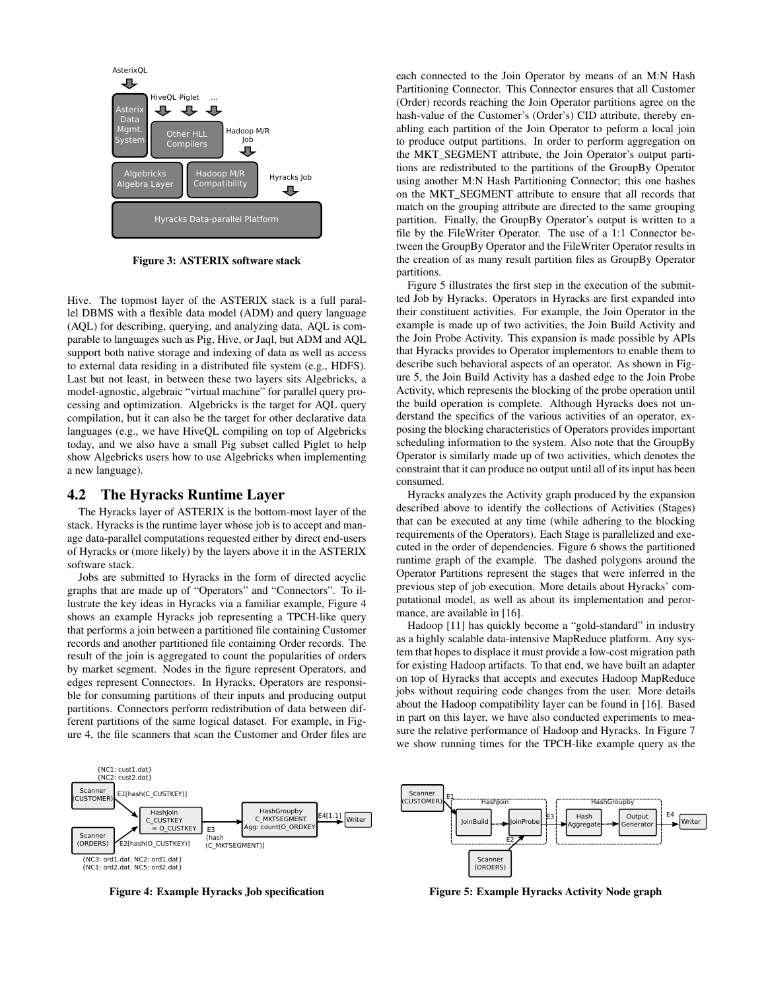

Figure 3: ASTERIX software stack

Hive. The topmost layer of the ASTERIX stack is a full parallel DBMS with a flexible data model (ADM) and query language (AQL) for describing, querying, and analyzing data. AQL is comparable to languages such as Pig, Hive, or Jaql, but ADM and AQL support both native storage and indexing of data as well as access to external data residing in a distributed file system (e.g., HDFS). Last but not least, in between these two layers sits Algebricks, a model-agnostic, algebraic "virtual machine" for parallel query processing and optimization. Algebricks is the target for AQL query compilation, but it can also be the target for other declarative data languages (e.g., we have HiveQL compiling on top of Algebricks today, and we also have a small Pig subset called Piglet to help show Algebricks users how to use Algebricks when implementing a new language).

### 4.2 The Hyracks Runtime Layer

The Hyracks layer of ASTERIX is the bottom-most layer of the stack. Hyracks is the runtime layer whose job is to accept and manage data-parallel computations requested either by direct end-users of Hyracks or (more likely) by the layers above it in the ASTERIX software stack.

Jobs are submitted to Hyracks in the form of directed acyclic graphs that are made up of "Operators" and "Connectors". To illustrate the key ideas in Hyracks via a familiar example, Figure 4 shows an example Hyracks job representing a TPCH-like query that performs a join between a partitioned file containing Customer records and another partitioned file containing Order records. The result of the join is aggregated to count the popularities of orders by market segment. Nodes in the figure represent Operators, and edges represent Connectors. In Hyracks, Operators are responsible for consuming partitions of their inputs and producing output partitions. Connectors perform redistribution of data between different partitions of the same logical dataset. For example, in Figure 4, the file scanners that scan the Customer and Order files are



Figure 4: Example Hyracks Job specification

each connected to the Join Operator by means of an M:N Hash Partitioning Connector. This Connector ensures that all Customer (Order) records reaching the Join Operator partitions agree on the hash-value of the Customer's (Order's) CID attribute, thereby enabling each partition of the Join Operator to peform a local join to produce output partitions. In order to perform aggregation on the MKT\_SEGMENT attribute, the Join Operator's output partitions are redistributed to the partitions of the GroupBy Operator using another M:N Hash Partitioning Connector; this one hashes on the MKT\_SEGMENT attribute to ensure that all records that match on the grouping attribute are directed to the same grouping partition. Finally, the GroupBy Operator's output is written to a file by the FileWriter Operator. The use of a 1:1 Connector between the GroupBy Operator and the FileWriter Operator results in the creation of as many result partition files as GroupBy Operator partitions.

Figure 5 illustrates the first step in the execution of the submitted Job by Hyracks. Operators in Hyracks are first expanded into their constituent activities. For example, the Join Operator in the example is made up of two activities, the Join Build Activity and the Join Probe Activity. This expansion is made possible by APIs that Hyracks provides to Operator implementors to enable them to describe such behavioral aspects of an operator. As shown in Figure 5, the Join Build Activity has a dashed edge to the Join Probe Activity, which represents the blocking of the probe operation until the build operation is complete. Although Hyracks does not understand the specifics of the various activities of an operator, exposing the blocking characteristics of Operators provides important scheduling information to the system. Also note that the GroupBy Operator is similarly made up of two activities, which denotes the constraint that it can produce no output until all of its input has been consumed.

Hyracks analyzes the Activity graph produced by the expansion described above to identify the collections of Activities (Stages) that can be executed at any time (while adhering to the blocking requirements of the Operators). Each Stage is parallelized and executed in the order of dependencies. Figure 6 shows the partitioned runtime graph of the example. The dashed polygons around the Operator Partitions represent the stages that were inferred in the previous step of job execution. More details about Hyracks' computational model, as well as about its implementation and perormance, are available in [16].

Hadoop [11] has quickly become a "gold-standard" in industry as a highly scalable data-intensive MapReduce platform. Any system that hopes to displace it must provide a low-cost migration path for existing Hadoop artifacts. To that end, we have built an adapter on top of Hyracks that accepts and executes Hadoop MapReduce jobs without requiring code changes from the user. More details about the Hadoop compatibility layer can be found in [16]. Based in part on this layer, we have also conducted experiments to measure the relative performance of Hadoop and Hyracks. In Figure 7 we show running times for the TPCH-like example query as the



Figure 5: Example Hyracks Activity Node graph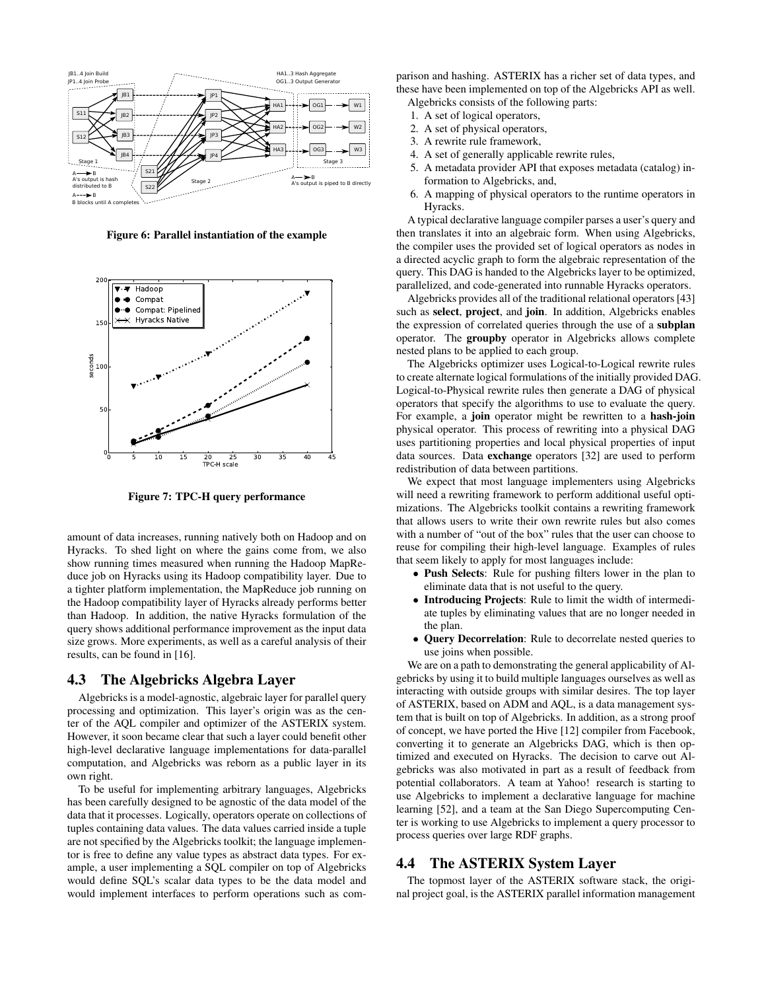

Figure 6: Parallel instantiation of the example



Figure 7: TPC-H query performance

amount of data increases, running natively both on Hadoop and on Hyracks. To shed light on where the gains come from, we also show running times measured when running the Hadoop MapReduce job on Hyracks using its Hadoop compatibility layer. Due to a tighter platform implementation, the MapReduce job running on the Hadoop compatibility layer of Hyracks already performs better than Hadoop. In addition, the native Hyracks formulation of the query shows additional performance improvement as the input data size grows. More experiments, as well as a careful analysis of their results, can be found in [16].

### 4.3 The Algebricks Algebra Layer

Algebricks is a model-agnostic, algebraic layer for parallel query processing and optimization. This layer's origin was as the center of the AQL compiler and optimizer of the ASTERIX system. However, it soon became clear that such a layer could benefit other high-level declarative language implementations for data-parallel computation, and Algebricks was reborn as a public layer in its own right.

To be useful for implementing arbitrary languages, Algebricks has been carefully designed to be agnostic of the data model of the data that it processes. Logically, operators operate on collections of tuples containing data values. The data values carried inside a tuple are not specified by the Algebricks toolkit; the language implementor is free to define any value types as abstract data types. For example, a user implementing a SQL compiler on top of Algebricks would define SQL's scalar data types to be the data model and would implement interfaces to perform operations such as comparison and hashing. ASTERIX has a richer set of data types, and these have been implemented on top of the Algebricks API as well. Algebricks consists of the following parts:

- 1. A set of logical operators,
- 2. A set of physical operators,
- 3. A rewrite rule framework,
- 4. A set of generally applicable rewrite rules,
- 5. A metadata provider API that exposes metadata (catalog) information to Algebricks, and,
- 6. A mapping of physical operators to the runtime operators in Hyracks.

A typical declarative language compiler parses a user's query and then translates it into an algebraic form. When using Algebricks, the compiler uses the provided set of logical operators as nodes in a directed acyclic graph to form the algebraic representation of the query. This DAG is handed to the Algebricks layer to be optimized, parallelized, and code-generated into runnable Hyracks operators.

Algebricks provides all of the traditional relational operators [43] such as select, project, and join. In addition, Algebricks enables the expression of correlated queries through the use of a subplan operator. The groupby operator in Algebricks allows complete nested plans to be applied to each group.

The Algebricks optimizer uses Logical-to-Logical rewrite rules to create alternate logical formulations of the initially provided DAG. Logical-to-Physical rewrite rules then generate a DAG of physical operators that specify the algorithms to use to evaluate the query. For example, a join operator might be rewritten to a hash-join physical operator. This process of rewriting into a physical DAG uses partitioning properties and local physical properties of input data sources. Data exchange operators [32] are used to perform redistribution of data between partitions.

We expect that most language implementers using Algebricks will need a rewriting framework to perform additional useful optimizations. The Algebricks toolkit contains a rewriting framework that allows users to write their own rewrite rules but also comes with a number of "out of the box" rules that the user can choose to reuse for compiling their high-level language. Examples of rules that seem likely to apply for most languages include:

- Push Selects: Rule for pushing filters lower in the plan to eliminate data that is not useful to the query.
- Introducing Projects: Rule to limit the width of intermediate tuples by eliminating values that are no longer needed in the plan.
- Query Decorrelation: Rule to decorrelate nested queries to use joins when possible.

We are on a path to demonstrating the general applicability of Algebricks by using it to build multiple languages ourselves as well as interacting with outside groups with similar desires. The top layer of ASTERIX, based on ADM and AQL, is a data management system that is built on top of Algebricks. In addition, as a strong proof of concept, we have ported the Hive [12] compiler from Facebook, converting it to generate an Algebricks DAG, which is then optimized and executed on Hyracks. The decision to carve out Algebricks was also motivated in part as a result of feedback from potential collaborators. A team at Yahoo! research is starting to use Algebricks to implement a declarative language for machine learning [52], and a team at the San Diego Supercomputing Center is working to use Algebricks to implement a query processor to process queries over large RDF graphs.

## 4.4 The ASTERIX System Layer

The topmost layer of the ASTERIX software stack, the original project goal, is the ASTERIX parallel information management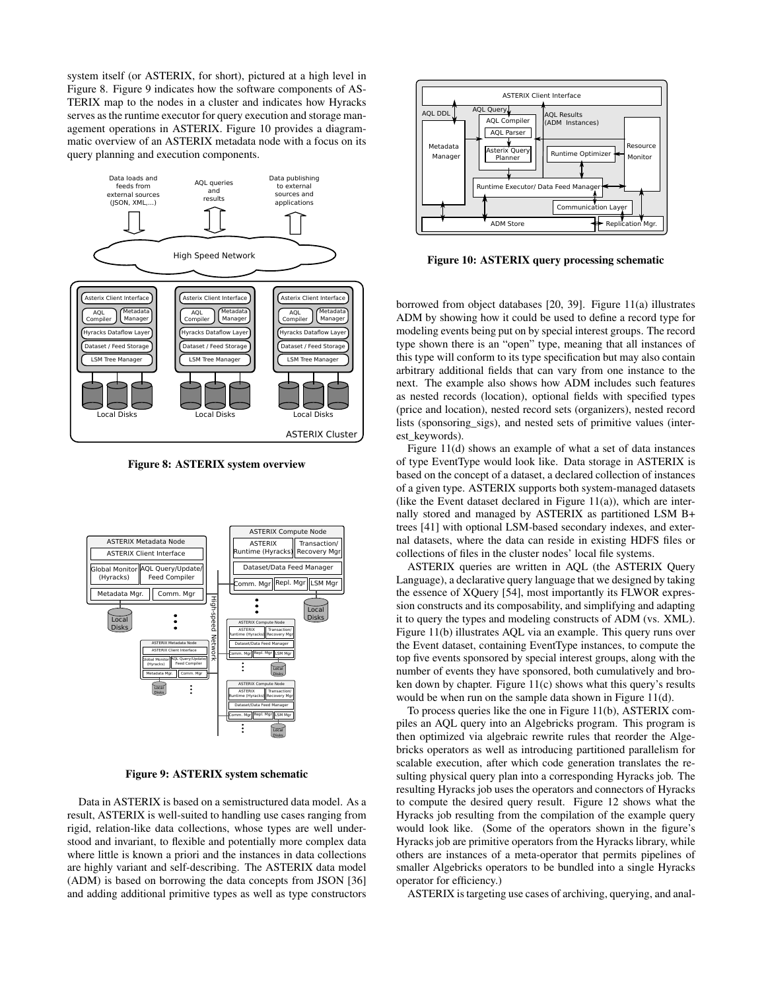system itself (or ASTERIX, for short), pictured at a high level in Figure 8. Figure 9 indicates how the software components of AS-TERIX map to the nodes in a cluster and indicates how Hyracks serves as the runtime executor for query execution and storage management operations in ASTERIX. Figure 10 provides a diagrammatic overview of an ASTERIX metadata node with a focus on its query planning and execution components.



Figure 8: ASTERIX system overview



Figure 9: ASTERIX system schematic

Data in ASTERIX is based on a semistructured data model. As a result, ASTERIX is well-suited to handling use cases ranging from rigid, relation-like data collections, whose types are well understood and invariant, to flexible and potentially more complex data where little is known a priori and the instances in data collections are highly variant and self-describing. The ASTERIX data model (ADM) is based on borrowing the data concepts from JSON [36] and adding additional primitive types as well as type constructors



Figure 10: ASTERIX query processing schematic

borrowed from object databases [20, 39]. Figure 11(a) illustrates ADM by showing how it could be used to define a record type for modeling events being put on by special interest groups. The record type shown there is an "open" type, meaning that all instances of this type will conform to its type specification but may also contain arbitrary additional fields that can vary from one instance to the next. The example also shows how ADM includes such features as nested records (location), optional fields with specified types (price and location), nested record sets (organizers), nested record lists (sponsoring sigs), and nested sets of primitive values (interest\_keywords).

Figure 11(d) shows an example of what a set of data instances of type EventType would look like. Data storage in ASTERIX is based on the concept of a dataset, a declared collection of instances of a given type. ASTERIX supports both system-managed datasets (like the Event dataset declared in Figure  $11(a)$ ), which are internally stored and managed by ASTERIX as partitioned LSM B+ trees [41] with optional LSM-based secondary indexes, and external datasets, where the data can reside in existing HDFS files or collections of files in the cluster nodes' local file systems.

ASTERIX queries are written in AQL (the ASTERIX Query Language), a declarative query language that we designed by taking the essence of XQuery [54], most importantly its FLWOR expression constructs and its composability, and simplifying and adapting it to query the types and modeling constructs of ADM (vs. XML). Figure 11(b) illustrates AQL via an example. This query runs over the Event dataset, containing EventType instances, to compute the top five events sponsored by special interest groups, along with the number of events they have sponsored, both cumulatively and broken down by chapter. Figure 11(c) shows what this query's results would be when run on the sample data shown in Figure 11(d).

To process queries like the one in Figure 11(b), ASTERIX compiles an AQL query into an Algebricks program. This program is then optimized via algebraic rewrite rules that reorder the Algebricks operators as well as introducing partitioned parallelism for scalable execution, after which code generation translates the resulting physical query plan into a corresponding Hyracks job. The resulting Hyracks job uses the operators and connectors of Hyracks to compute the desired query result. Figure 12 shows what the Hyracks job resulting from the compilation of the example query would look like. (Some of the operators shown in the figure's Hyracks job are primitive operators from the Hyracks library, while others are instances of a meta-operator that permits pipelines of smaller Algebricks operators to be bundled into a single Hyracks operator for efficiency.)

ASTERIX is targeting use cases of archiving, querying, and anal-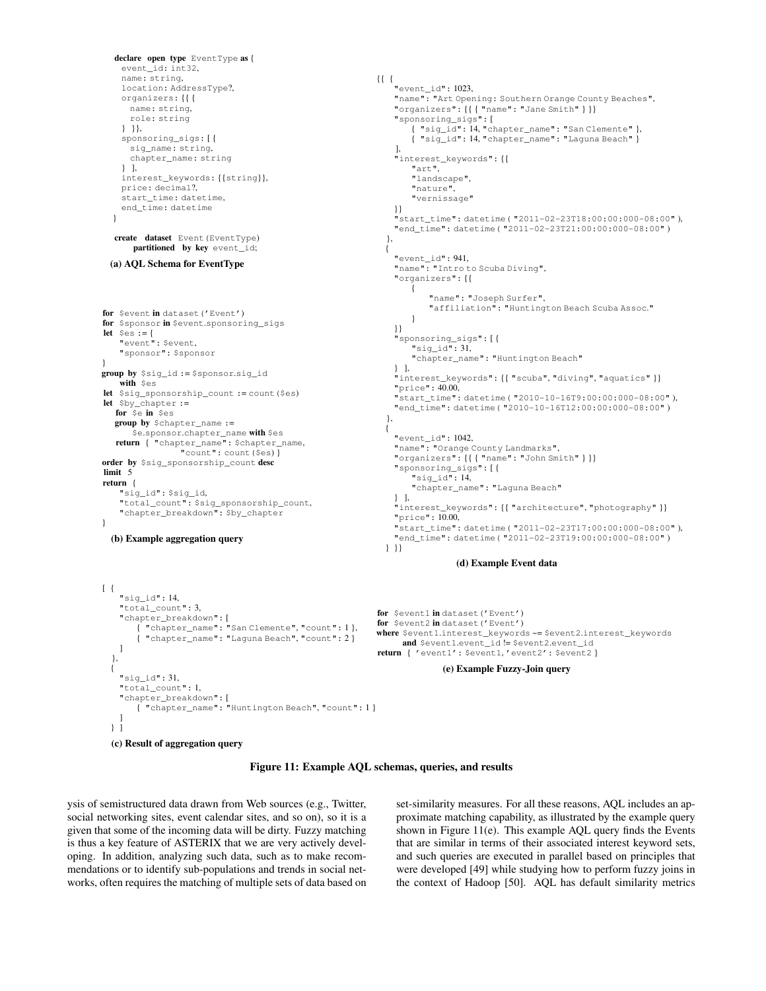```
declare open type EventType as {
    event_id: int32,
    name: string,
    location: AddressType?,
    organizers: {{ {
      name: string,
      role: string
    } }},
    sponsoring_sigs: [ {
      sig_name: string,
      chapter_name: string
    } ],
    interest_keywords: {{string}},
    price: decimal?,
    start_time: datetime.
    end_time: datetime
  }
   create dataset Event(EventType)
       partitioned by key event_id;
  (a) AQL Schema for EventType
for $event in dataset ('Event')
for $sponsor in $event.sponsoring_sigs
let §es := \{"event": $event,
    "sponsor": $sponsor
}
group by $sig_id := $sponsor.sig_id
    with $es
let $sig_sponsorship_count := count($es)
let $by_chapter :=
   for Se in Ses
   group by $chapter_name :=
       se.sponsor.chapter_name with $es
   return { "chapter_name": $chapter_name,
                 "count": count ($es) }
order by $sig_sponsorship_count desc
limit 5
return {
   "sig_id": $sig_id,
    "total_count": $sig_sponsorship_count,
"chapter_breakdown": $by_chapter
}
  (b) Example aggregation query
[ {
"sig_id": 14,
    "total_count": 3,
    "chapter_breakdown": [
{ "chapter_name": "San Clemente", "count": 1 },
       { "chapter_name": "Laguna Beach", "count": 2 }
   \mathbf{l}},
  {
   "sig_id": 31,
    "total_count": 1,
    "chapter_breakdown": [
{ "chapter_name": "Huntington Beach", "count": 1 }
                                                             {{ {
                                                                 "event_id": 1023,
                                                                 "name": "Art Opening: Southern Orange County Beaches",
                                                                 "organizers": {{ { "name": "Jane Smith" } }}
                                                                 "sponsoring_sigs": [
                                                                      { "sig_id": 14, "chapter_name": "San Clemente" },
                                                                     { "sig_id": 14, "chapter_name": "Laguna Beach" }
                                                                 ],
"interest_keywords": {{
                                                                     "art",
                                                                     "landscape",
                                                                     "nature",
                                                                     "vernissage"
                                                                 }}
                                                                 "start_time": datetime( "2011-02-23T18:00:00:000-08:00" ),
                                                                 "end_time": datetime( "2011-02-23T21:00:00:000-08:00" )
                                                               },
                                                               {
                                                                 "event_id": 941,
                                                                 "name": "Intro to Scuba Diving",
                                                                 "organizers": {{
                                                                     {
                                                                         "name": "Joseph Surfer",
                                                                         "affiliation": "Huntington Beach Scuba Assoc."
                                                                    }
                                                                 }}
                                                                 "sponsoring_sigs": [ {
                                                                     "sig_id": 31,
                                                                     "chapter_name": "Huntington Beach"
                                                                 \} \perp"interest_keywords": {{ "scuba", "diving", "aquatics" }}
                                                                 "price": 40.00,
                                                                 "start_time": datetime( "2010-10-16T9:00:00:000-08:00" ),
                                                                 "end_time": datetime( "2010-10-16T12:00:00:000-08:00" )
                                                               },
                                                               {
                                                                 "event_id": 1042,
"name": "Orange County Landmarks",
                                                                 "organizers": {{ { "name": "John Smith" } }}
                                                                 "sponsoring_sigs": [ {
                                                                     "sig_id": 14,
                                                                     "chapter_name": "Laguna Beach"
                                                                 \} ].
                                                                 "interest_keywords": {{ "architecture", "photography" }}
                                                                 "price": 10.00,
                                                                 "start_time": datetime( "2011-02-23T17:00:00:000-08:00" ),
                                                                 "end_time": datetime( "2011-02-23T19:00:00:000-08:00" )
                                                               } }}
                                                                               (d) Example Event data
                                                             for $event1 in dataset ('Event')
                                                             for $event2 in dataset ('Event')
                                                             where $event1.interest_keywords ~= $event2.interest_keywords
                                                                  and $event1.event_id != $event2.event_id
                                                             return { 'event1': $event1, 'event2': $event2 }
                                                                           (e) Example Fuzzy-Join query
```

```
(c) Result of aggregation query
```
] } ]



ysis of semistructured data drawn from Web sources (e.g., Twitter, social networking sites, event calendar sites, and so on), so it is a given that some of the incoming data will be dirty. Fuzzy matching is thus a key feature of ASTERIX that we are very actively developing. In addition, analyzing such data, such as to make recommendations or to identify sub-populations and trends in social networks, often requires the matching of multiple sets of data based on

set-similarity measures. For all these reasons, AQL includes an approximate matching capability, as illustrated by the example query shown in Figure 11(e). This example AQL query finds the Events that are similar in terms of their associated interest keyword sets, and such queries are executed in parallel based on principles that were developed [49] while studying how to perform fuzzy joins in the context of Hadoop [50]. AQL has default similarity metrics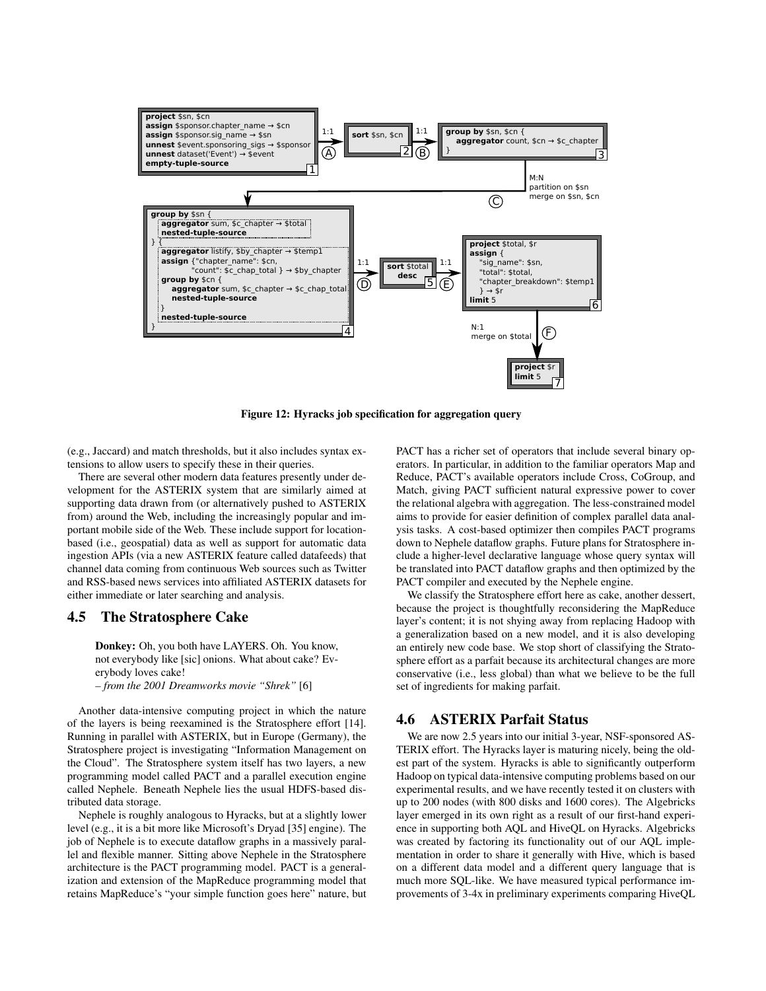

Figure 12: Hyracks job specification for aggregation query

(e.g., Jaccard) and match thresholds, but it also includes syntax extensions to allow users to specify these in their queries.

There are several other modern data features presently under development for the ASTERIX system that are similarly aimed at supporting data drawn from (or alternatively pushed to ASTERIX from) around the Web, including the increasingly popular and important mobile side of the Web. These include support for locationbased (i.e., geospatial) data as well as support for automatic data ingestion APIs (via a new ASTERIX feature called datafeeds) that channel data coming from continuous Web sources such as Twitter and RSS-based news services into affiliated ASTERIX datasets for either immediate or later searching and analysis.

## 4.5 The Stratosphere Cake

Donkey: Oh, you both have LAYERS. Oh. You know, not everybody like [sic] onions. What about cake? Everybody loves cake! *– from the 2001 Dreamworks movie "Shrek"* [6]

Another data-intensive computing project in which the nature of the layers is being reexamined is the Stratosphere effort [14]. Running in parallel with ASTERIX, but in Europe (Germany), the Stratosphere project is investigating "Information Management on the Cloud". The Stratosphere system itself has two layers, a new programming model called PACT and a parallel execution engine called Nephele. Beneath Nephele lies the usual HDFS-based distributed data storage.

Nephele is roughly analogous to Hyracks, but at a slightly lower level (e.g., it is a bit more like Microsoft's Dryad [35] engine). The job of Nephele is to execute dataflow graphs in a massively parallel and flexible manner. Sitting above Nephele in the Stratosphere architecture is the PACT programming model. PACT is a generalization and extension of the MapReduce programming model that retains MapReduce's "your simple function goes here" nature, but PACT has a richer set of operators that include several binary operators. In particular, in addition to the familiar operators Map and Reduce, PACT's available operators include Cross, CoGroup, and Match, giving PACT sufficient natural expressive power to cover the relational algebra with aggregation. The less-constrained model aims to provide for easier definition of complex parallel data analysis tasks. A cost-based optimizer then compiles PACT programs down to Nephele dataflow graphs. Future plans for Stratosphere include a higher-level declarative language whose query syntax will be translated into PACT dataflow graphs and then optimized by the PACT compiler and executed by the Nephele engine.

We classify the Stratosphere effort here as cake, another dessert, because the project is thoughtfully reconsidering the MapReduce layer's content; it is not shying away from replacing Hadoop with a generalization based on a new model, and it is also developing an entirely new code base. We stop short of classifying the Stratosphere effort as a parfait because its architectural changes are more conservative (i.e., less global) than what we believe to be the full set of ingredients for making parfait.

#### 4.6 ASTERIX Parfait Status

We are now 2.5 years into our initial 3-year, NSF-sponsored AS-TERIX effort. The Hyracks layer is maturing nicely, being the oldest part of the system. Hyracks is able to significantly outperform Hadoop on typical data-intensive computing problems based on our experimental results, and we have recently tested it on clusters with up to 200 nodes (with 800 disks and 1600 cores). The Algebricks layer emerged in its own right as a result of our first-hand experience in supporting both AQL and HiveQL on Hyracks. Algebricks was created by factoring its functionality out of our AQL implementation in order to share it generally with Hive, which is based on a different data model and a different query language that is much more SQL-like. We have measured typical performance improvements of 3-4x in preliminary experiments comparing HiveQL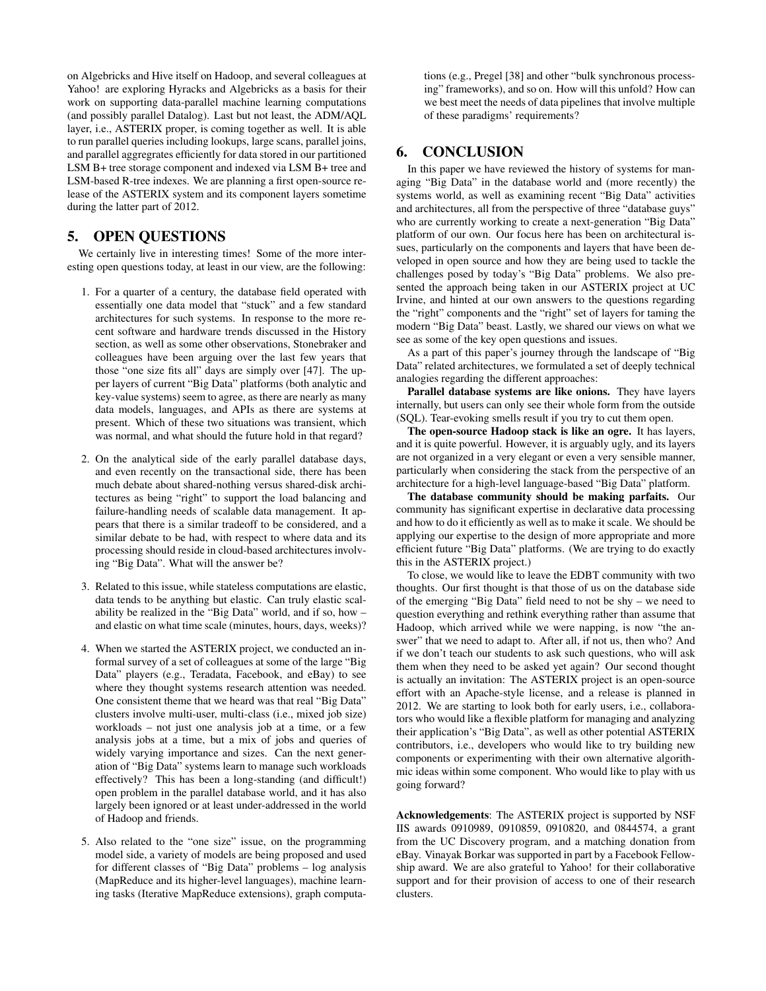on Algebricks and Hive itself on Hadoop, and several colleagues at Yahoo! are exploring Hyracks and Algebricks as a basis for their work on supporting data-parallel machine learning computations (and possibly parallel Datalog). Last but not least, the ADM/AQL layer, i.e., ASTERIX proper, is coming together as well. It is able to run parallel queries including lookups, large scans, parallel joins, and parallel aggregrates efficiently for data stored in our partitioned LSM B+ tree storage component and indexed via LSM B+ tree and LSM-based R-tree indexes. We are planning a first open-source release of the ASTERIX system and its component layers sometime during the latter part of 2012.

## 5. OPEN QUESTIONS

We certainly live in interesting times! Some of the more interesting open questions today, at least in our view, are the following:

- 1. For a quarter of a century, the database field operated with essentially one data model that "stuck" and a few standard architectures for such systems. In response to the more recent software and hardware trends discussed in the History section, as well as some other observations, Stonebraker and colleagues have been arguing over the last few years that those "one size fits all" days are simply over [47]. The upper layers of current "Big Data" platforms (both analytic and key-value systems) seem to agree, as there are nearly as many data models, languages, and APIs as there are systems at present. Which of these two situations was transient, which was normal, and what should the future hold in that regard?
- 2. On the analytical side of the early parallel database days, and even recently on the transactional side, there has been much debate about shared-nothing versus shared-disk architectures as being "right" to support the load balancing and failure-handling needs of scalable data management. It appears that there is a similar tradeoff to be considered, and a similar debate to be had, with respect to where data and its processing should reside in cloud-based architectures involving "Big Data". What will the answer be?
- 3. Related to this issue, while stateless computations are elastic, data tends to be anything but elastic. Can truly elastic scalability be realized in the "Big Data" world, and if so, how – and elastic on what time scale (minutes, hours, days, weeks)?
- 4. When we started the ASTERIX project, we conducted an informal survey of a set of colleagues at some of the large "Big Data" players (e.g., Teradata, Facebook, and eBay) to see where they thought systems research attention was needed. One consistent theme that we heard was that real "Big Data" clusters involve multi-user, multi-class (i.e., mixed job size) workloads – not just one analysis job at a time, or a few analysis jobs at a time, but a mix of jobs and queries of widely varying importance and sizes. Can the next generation of "Big Data" systems learn to manage such workloads effectively? This has been a long-standing (and difficult!) open problem in the parallel database world, and it has also largely been ignored or at least under-addressed in the world of Hadoop and friends.
- 5. Also related to the "one size" issue, on the programming model side, a variety of models are being proposed and used for different classes of "Big Data" problems – log analysis (MapReduce and its higher-level languages), machine learning tasks (Iterative MapReduce extensions), graph computa-

tions (e.g., Pregel [38] and other "bulk synchronous processing" frameworks), and so on. How will this unfold? How can we best meet the needs of data pipelines that involve multiple of these paradigms' requirements?

# 6. CONCLUSION

In this paper we have reviewed the history of systems for managing "Big Data" in the database world and (more recently) the systems world, as well as examining recent "Big Data" activities and architectures, all from the perspective of three "database guys" who are currently working to create a next-generation "Big Data" platform of our own. Our focus here has been on architectural issues, particularly on the components and layers that have been developed in open source and how they are being used to tackle the challenges posed by today's "Big Data" problems. We also presented the approach being taken in our ASTERIX project at UC Irvine, and hinted at our own answers to the questions regarding the "right" components and the "right" set of layers for taming the modern "Big Data" beast. Lastly, we shared our views on what we see as some of the key open questions and issues.

As a part of this paper's journey through the landscape of "Big Data" related architectures, we formulated a set of deeply technical analogies regarding the different approaches:

Parallel database systems are like onions. They have layers internally, but users can only see their whole form from the outside (SQL). Tear-evoking smells result if you try to cut them open.

The open-source Hadoop stack is like an ogre. It has layers, and it is quite powerful. However, it is arguably ugly, and its layers are not organized in a very elegant or even a very sensible manner, particularly when considering the stack from the perspective of an architecture for a high-level language-based "Big Data" platform.

The database community should be making parfaits. Our community has significant expertise in declarative data processing and how to do it efficiently as well as to make it scale. We should be applying our expertise to the design of more appropriate and more efficient future "Big Data" platforms. (We are trying to do exactly this in the ASTERIX project.)

To close, we would like to leave the EDBT community with two thoughts. Our first thought is that those of us on the database side of the emerging "Big Data" field need to not be shy – we need to question everything and rethink everything rather than assume that Hadoop, which arrived while we were napping, is now "the answer" that we need to adapt to. After all, if not us, then who? And if we don't teach our students to ask such questions, who will ask them when they need to be asked yet again? Our second thought is actually an invitation: The ASTERIX project is an open-source effort with an Apache-style license, and a release is planned in 2012. We are starting to look both for early users, i.e., collaborators who would like a flexible platform for managing and analyzing their application's "Big Data", as well as other potential ASTERIX contributors, i.e., developers who would like to try building new components or experimenting with their own alternative algorithmic ideas within some component. Who would like to play with us going forward?

Acknowledgements: The ASTERIX project is supported by NSF IIS awards 0910989, 0910859, 0910820, and 0844574, a grant from the UC Discovery program, and a matching donation from eBay. Vinayak Borkar was supported in part by a Facebook Fellowship award. We are also grateful to Yahoo! for their collaborative support and for their provision of access to one of their research clusters.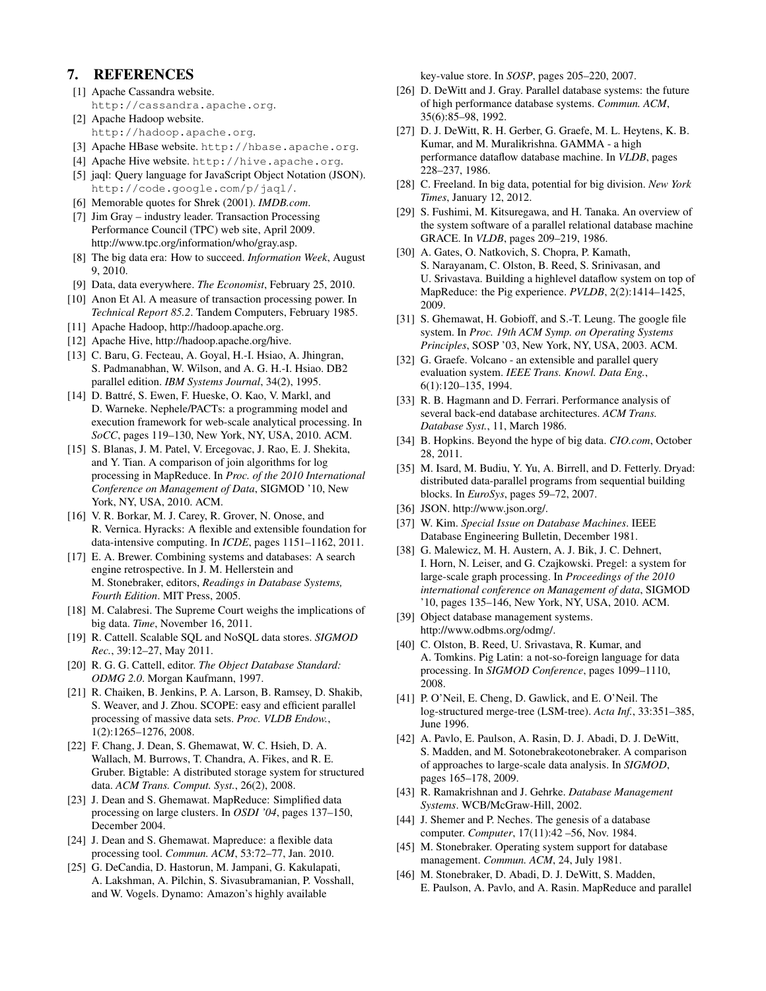# 7. REFERENCES

- [1] Apache Cassandra website. http://cassandra.apache.org. [2] Apache Hadoop website.
- http://hadoop.apache.org.
- [3] Apache HBase website. http://hbase.apache.org.
- [4] Apache Hive website. http://hive.apache.org.
- [5] jaql: Query language for JavaScript Object Notation (JSON). http://code.google.com/p/jaql/.
- [6] Memorable quotes for Shrek (2001). *IMDB.com*.
- [7] Jim Gray industry leader. Transaction Processing Performance Council (TPC) web site, April 2009. http://www.tpc.org/information/who/gray.asp.
- [8] The big data era: How to succeed. *Information Week*, August 9, 2010.
- [9] Data, data everywhere. *The Economist*, February 25, 2010.
- [10] Anon Et Al. A measure of transaction processing power. In *Technical Report 85.2*. Tandem Computers, February 1985.
- [11] Apache Hadoop, http://hadoop.apache.org.
- [12] Apache Hive, http://hadoop.apache.org/hive.
- [13] C. Baru, G. Fecteau, A. Goyal, H.-I. Hsiao, A. Jhingran, S. Padmanabhan, W. Wilson, and A. G. H.-I. Hsiao. DB2 parallel edition. *IBM Systems Journal*, 34(2), 1995.
- [14] D. Battré, S. Ewen, F. Hueske, O. Kao, V. Markl, and D. Warneke. Nephele/PACTs: a programming model and execution framework for web-scale analytical processing. In *SoCC*, pages 119–130, New York, NY, USA, 2010. ACM.
- [15] S. Blanas, J. M. Patel, V. Ercegovac, J. Rao, E. J. Shekita, and Y. Tian. A comparison of join algorithms for log processing in MapReduce. In *Proc. of the 2010 International Conference on Management of Data*, SIGMOD '10, New York, NY, USA, 2010. ACM.
- [16] V. R. Borkar, M. J. Carey, R. Grover, N. Onose, and R. Vernica. Hyracks: A flexible and extensible foundation for data-intensive computing. In *ICDE*, pages 1151–1162, 2011.
- [17] E. A. Brewer. Combining systems and databases: A search engine retrospective. In J. M. Hellerstein and M. Stonebraker, editors, *Readings in Database Systems, Fourth Edition*. MIT Press, 2005.
- [18] M. Calabresi. The Supreme Court weighs the implications of big data. *Time*, November 16, 2011.
- [19] R. Cattell. Scalable SQL and NoSQL data stores. *SIGMOD Rec.*, 39:12–27, May 2011.
- [20] R. G. G. Cattell, editor. *The Object Database Standard: ODMG 2.0*. Morgan Kaufmann, 1997.
- [21] R. Chaiken, B. Jenkins, P. A. Larson, B. Ramsey, D. Shakib, S. Weaver, and J. Zhou. SCOPE: easy and efficient parallel processing of massive data sets. *Proc. VLDB Endow.*, 1(2):1265–1276, 2008.
- [22] F. Chang, J. Dean, S. Ghemawat, W. C. Hsieh, D. A. Wallach, M. Burrows, T. Chandra, A. Fikes, and R. E. Gruber. Bigtable: A distributed storage system for structured data. *ACM Trans. Comput. Syst.*, 26(2), 2008.
- [23] J. Dean and S. Ghemawat. MapReduce: Simplified data processing on large clusters. In *OSDI '04*, pages 137–150, December 2004.
- [24] J. Dean and S. Ghemawat. Mapreduce: a flexible data processing tool. *Commun. ACM*, 53:72–77, Jan. 2010.
- [25] G. DeCandia, D. Hastorun, M. Jampani, G. Kakulapati, A. Lakshman, A. Pilchin, S. Sivasubramanian, P. Vosshall, and W. Vogels. Dynamo: Amazon's highly available

key-value store. In *SOSP*, pages 205–220, 2007.

- [26] D. DeWitt and J. Gray. Parallel database systems: the future of high performance database systems. *Commun. ACM*, 35(6):85–98, 1992.
- [27] D. J. DeWitt, R. H. Gerber, G. Graefe, M. L. Heytens, K. B. Kumar, and M. Muralikrishna. GAMMA - a high performance dataflow database machine. In *VLDB*, pages 228–237, 1986.
- [28] C. Freeland. In big data, potential for big division. *New York Times*, January 12, 2012.
- [29] S. Fushimi, M. Kitsuregawa, and H. Tanaka. An overview of the system software of a parallel relational database machine GRACE. In *VLDB*, pages 209–219, 1986.
- [30] A. Gates, O. Natkovich, S. Chopra, P. Kamath, S. Narayanam, C. Olston, B. Reed, S. Srinivasan, and U. Srivastava. Building a highlevel dataflow system on top of MapReduce: the Pig experience. *PVLDB*, 2(2):1414–1425, 2009.
- [31] S. Ghemawat, H. Gobioff, and S.-T. Leung. The google file system. In *Proc. 19th ACM Symp. on Operating Systems Principles*, SOSP '03, New York, NY, USA, 2003. ACM.
- [32] G. Graefe. Volcano an extensible and parallel query evaluation system. *IEEE Trans. Knowl. Data Eng.*, 6(1):120–135, 1994.
- [33] R. B. Hagmann and D. Ferrari. Performance analysis of several back-end database architectures. *ACM Trans. Database Syst.*, 11, March 1986.
- [34] B. Hopkins. Beyond the hype of big data. *CIO.com*, October 28, 2011.
- [35] M. Isard, M. Budiu, Y. Yu, A. Birrell, and D. Fetterly. Dryad: distributed data-parallel programs from sequential building blocks. In *EuroSys*, pages 59–72, 2007.
- [36] JSON. http://www.json.org/.
- [37] W. Kim. *Special Issue on Database Machines*. IEEE Database Engineering Bulletin, December 1981.
- [38] G. Malewicz, M. H. Austern, A. J. Bik, J. C. Dehnert, I. Horn, N. Leiser, and G. Czajkowski. Pregel: a system for large-scale graph processing. In *Proceedings of the 2010 international conference on Management of data*, SIGMOD '10, pages 135–146, New York, NY, USA, 2010. ACM.
- [39] Object database management systems. http://www.odbms.org/odmg/.
- [40] C. Olston, B. Reed, U. Srivastava, R. Kumar, and A. Tomkins. Pig Latin: a not-so-foreign language for data processing. In *SIGMOD Conference*, pages 1099–1110, 2008.
- [41] P. O'Neil, E. Cheng, D. Gawlick, and E. O'Neil. The log-structured merge-tree (LSM-tree). *Acta Inf.*, 33:351–385, June 1996.
- [42] A. Pavlo, E. Paulson, A. Rasin, D. J. Abadi, D. J. DeWitt, S. Madden, and M. Sotonebrakeotonebraker. A comparison of approaches to large-scale data analysis. In *SIGMOD*, pages 165–178, 2009.
- [43] R. Ramakrishnan and J. Gehrke. *Database Management Systems*. WCB/McGraw-Hill, 2002.
- [44] J. Shemer and P. Neches. The genesis of a database computer. *Computer*, 17(11):42 –56, Nov. 1984.
- [45] M. Stonebraker. Operating system support for database management. *Commun. ACM*, 24, July 1981.
- [46] M. Stonebraker, D. Abadi, D. J. DeWitt, S. Madden, E. Paulson, A. Pavlo, and A. Rasin. MapReduce and parallel